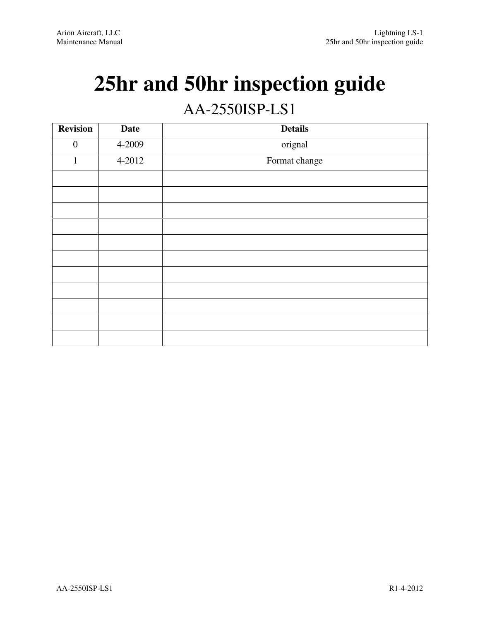# **25hr and 50hr inspection guide**

## AA-2550ISP-LS1

| <b>Revision</b>  | <b>Date</b> | <b>Details</b> |
|------------------|-------------|----------------|
| $\boldsymbol{0}$ | $4 - 2009$  | orignal        |
| $\mathbf{1}$     | $4 - 2012$  | Format change  |
|                  |             |                |
|                  |             |                |
|                  |             |                |
|                  |             |                |
|                  |             |                |
|                  |             |                |
|                  |             |                |
|                  |             |                |
|                  |             |                |
|                  |             |                |
|                  |             |                |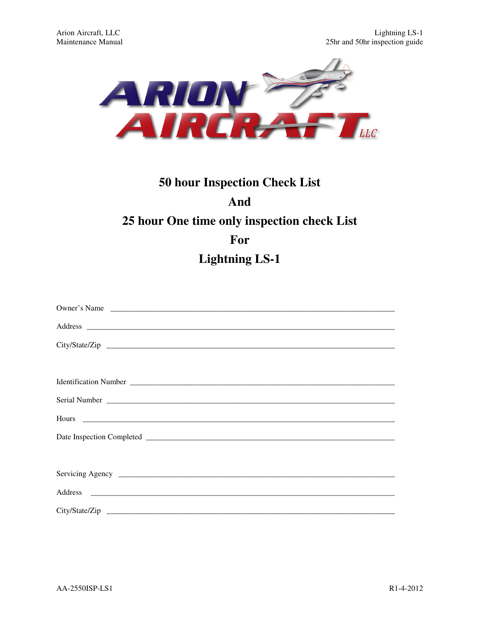

## 50 hour Inspection Check List And 25 hour One time only inspection check List For **Lightning LS-1**

| Owner's Name |  |
|--------------|--|
|              |  |
|              |  |
|              |  |
|              |  |
|              |  |
|              |  |
|              |  |
|              |  |
|              |  |
|              |  |
|              |  |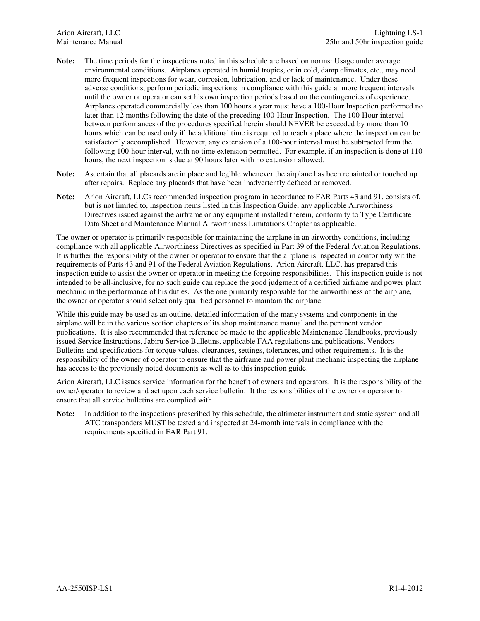- **Note:** The time periods for the inspections noted in this schedule are based on norms: Usage under average environmental conditions. Airplanes operated in humid tropics, or in cold, damp climates, etc., may need more frequent inspections for wear, corrosion, lubrication, and or lack of maintenance. Under these adverse conditions, perform periodic inspections in compliance with this guide at more frequent intervals until the owner or operator can set his own inspection periods based on the contingencies of experience. Airplanes operated commercially less than 100 hours a year must have a 100-Hour Inspection performed no later than 12 months following the date of the preceding 100-Hour Inspection. The 100-Hour interval between performances of the procedures specified herein should NEVER be exceeded by more than 10 hours which can be used only if the additional time is required to reach a place where the inspection can be satisfactorily accomplished. However, any extension of a 100-hour interval must be subtracted from the following 100-hour interval, with no time extension permitted. For example, if an inspection is done at 110 hours, the next inspection is due at 90 hours later with no extension allowed.
- **Note:** Ascertain that all placards are in place and legible whenever the airplane has been repainted or touched up after repairs. Replace any placards that have been inadvertently defaced or removed.
- **Note:** Arion Aircraft, LLCs recommended inspection program in accordance to FAR Parts 43 and 91, consists of, but is not limited to, inspection items listed in this Inspection Guide, any applicable Airworthiness Directives issued against the airframe or any equipment installed therein, conformity to Type Certificate Data Sheet and Maintenance Manual Airworthiness Limitations Chapter as applicable.

The owner or operator is primarily responsible for maintaining the airplane in an airworthy conditions, including compliance with all applicable Airworthiness Directives as specified in Part 39 of the Federal Aviation Regulations. It is further the responsibility of the owner or operator to ensure that the airplane is inspected in conformity wit the requirements of Parts 43 and 91 of the Federal Aviation Regulations. Arion Aircraft, LLC, has prepared this inspection guide to assist the owner or operator in meeting the forgoing responsibilities. This inspection guide is not intended to be all-inclusive, for no such guide can replace the good judgment of a certified airframe and power plant mechanic in the performance of his duties. As the one primarily responsible for the airworthiness of the airplane, the owner or operator should select only qualified personnel to maintain the airplane.

While this guide may be used as an outline, detailed information of the many systems and components in the airplane will be in the various section chapters of its shop maintenance manual and the pertinent vendor publications. It is also recommended that reference be made to the applicable Maintenance Handbooks, previously issued Service Instructions, Jabiru Service Bulletins, applicable FAA regulations and publications, Vendors Bulletins and specifications for torque values, clearances, settings, tolerances, and other requirements. It is the responsibility of the owner of operator to ensure that the airframe and power plant mechanic inspecting the airplane has access to the previously noted documents as well as to this inspection guide.

Arion Aircraft, LLC issues service information for the benefit of owners and operators. It is the responsibility of the owner/operator to review and act upon each service bulletin. It the responsibilities of the owner or operator to ensure that all service bulletins are complied with.

**Note:** In addition to the inspections prescribed by this schedule, the altimeter instrument and static system and all ATC transponders MUST be tested and inspected at 24-month intervals in compliance with the requirements specified in FAR Part 91.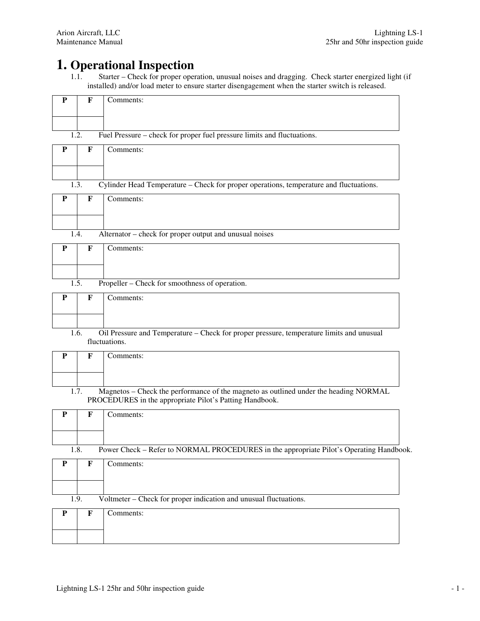## **1. Operational Inspection**<br>1.1. Starter – Check for proper oper

Starter – Check for proper operation, unusual noises and dragging. Check starter energized light (if installed) and/or load meter to ensure starter disengagement when the starter switch is released.

| ${\bf P}$   | F                  | Comments:                                                                                                                                       |
|-------------|--------------------|-------------------------------------------------------------------------------------------------------------------------------------------------|
|             |                    |                                                                                                                                                 |
|             | 1.2.               | Fuel Pressure – check for proper fuel pressure limits and fluctuations.                                                                         |
| ${\bf P}$   | $\mathbf F$        | Comments:                                                                                                                                       |
|             | 1.3.               | Cylinder Head Temperature – Check for proper operations, temperature and fluctuations.                                                          |
| P           | $\mathbf F$        | Comments:                                                                                                                                       |
|             |                    |                                                                                                                                                 |
|             | 1.4.               | Alternator – check for proper output and unusual noises                                                                                         |
| P           | F                  | Comments:                                                                                                                                       |
|             |                    |                                                                                                                                                 |
|             | 1.5.               | Propeller – Check for smoothness of operation.                                                                                                  |
| P           | F                  | Comments:                                                                                                                                       |
|             |                    |                                                                                                                                                 |
|             | 1.6.               | Oil Pressure and Temperature - Check for proper pressure, temperature limits and unusual<br>fluctuations.                                       |
| ${\bf P}$   | F                  | Comments:                                                                                                                                       |
|             |                    |                                                                                                                                                 |
|             | $\overline{1.7}$ . | Magnetos - Check the performance of the magneto as outlined under the heading NORMAL<br>PROCEDURES in the appropriate Pilot's Patting Handbook. |
| ${\bf P}$   | $\mathbf F$        | Comments:                                                                                                                                       |
|             |                    |                                                                                                                                                 |
|             | 1.8.               | Power Check - Refer to NORMAL PROCEDURES in the appropriate Pilot's Operating Handbook.                                                         |
| $\mathbf P$ | $\mathbf F$        | Comments:                                                                                                                                       |
|             |                    |                                                                                                                                                 |
|             | 1.9.               | Voltmeter – Check for proper indication and unusual fluctuations.                                                                               |
| $\mathbf P$ | $\mathbf F$        | Comments:                                                                                                                                       |
|             |                    |                                                                                                                                                 |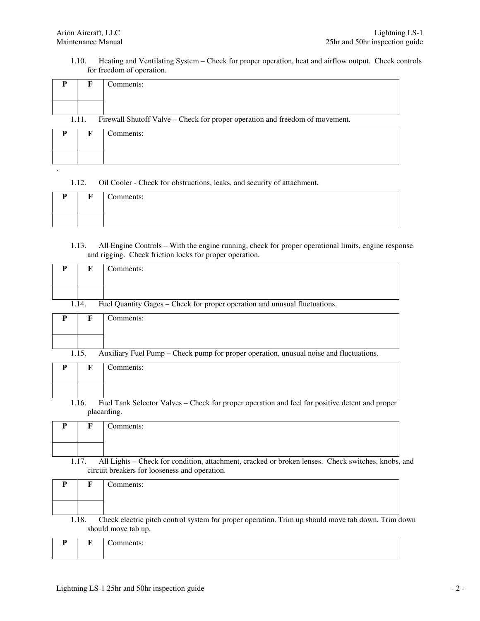1.10. Heating and Ventilating System – Check for proper operation, heat and airflow output. Check controls for freedom of operation.

| P | F                                                                                     | Comments: |  |  |  |
|---|---------------------------------------------------------------------------------------|-----------|--|--|--|
|   |                                                                                       |           |  |  |  |
|   |                                                                                       |           |  |  |  |
|   | Firewall Shutoff Valve – Check for proper operation and freedom of movement.<br>1.11. |           |  |  |  |
| P |                                                                                       | Comments: |  |  |  |
|   |                                                                                       |           |  |  |  |

.

1.12. Oil Cooler - Check for obstructions, leaks, and security of attachment.

| T. | $\mathbf{r}$ | $\sim$<br>Comments: |
|----|--------------|---------------------|
|    |              |                     |

1.13. All Engine Controls – With the engine running, check for proper operational limits, engine response and rigging. Check friction locks for proper operation.

|                                                                                     | Comments: |  |
|-------------------------------------------------------------------------------------|-----------|--|
|                                                                                     |           |  |
|                                                                                     |           |  |
| Fuel Quantity Gages – Check for proper operation and unusual fluctuations.<br>1.14. |           |  |
|                                                                                     | Comments: |  |

|  |  |  | 1.15. Auxiliary Fuel Pump – Check pump for proper operation, unusual noise and fluctuations. |
|--|--|--|----------------------------------------------------------------------------------------------|

|       | Comments:                                                                                                     |
|-------|---------------------------------------------------------------------------------------------------------------|
|       |                                                                                                               |
| 1.16. | Fuel Tank Selector Valves – Check for proper operation and feel for positive detent and proper<br>placarding. |

| $\blacksquare$ | $\overline{\phantom{a}}$ | $\overline{\phantom{0}}$<br>`omments: |
|----------------|--------------------------|---------------------------------------|
|                |                          |                                       |

1.17. All Lights – Check for condition, attachment, cracked or broken lenses. Check switches, knobs, and circuit breakers for looseness and operation.

|       | Comments:                                                                                         |  |
|-------|---------------------------------------------------------------------------------------------------|--|
|       |                                                                                                   |  |
|       |                                                                                                   |  |
| 1.18. | Check electric pitch control system for proper operation. Trim up should move tab down. Trim down |  |
|       | should move tab up.                                                                               |  |

| $\overline{\phantom{a}}$ |  |
|--------------------------|--|
|                          |  |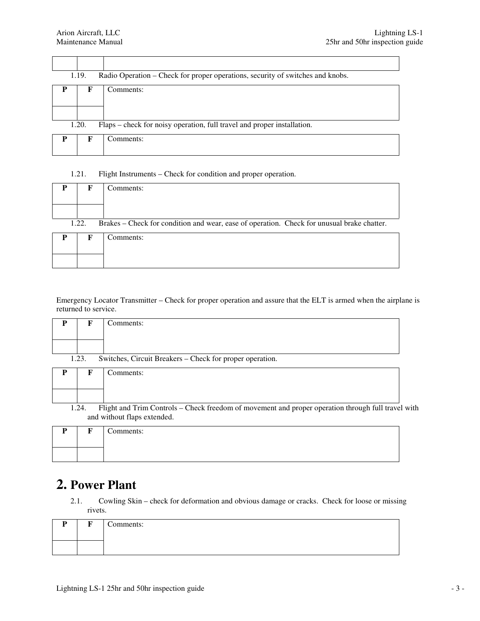| Radio Operation – Check for proper operations, security of switches and knobs.<br>1.19. |                                                                         |  |  |  |
|-----------------------------------------------------------------------------------------|-------------------------------------------------------------------------|--|--|--|
|                                                                                         | Comments:                                                               |  |  |  |
|                                                                                         |                                                                         |  |  |  |
| 1.20.                                                                                   | Flaps – check for noisy operation, full travel and proper installation. |  |  |  |
|                                                                                         | Comments:                                                               |  |  |  |

#### 1.21. Flight Instruments – Check for condition and proper operation.

| P | F                                                                                                   | Comments: |  |
|---|-----------------------------------------------------------------------------------------------------|-----------|--|
|   |                                                                                                     |           |  |
|   |                                                                                                     |           |  |
|   | Brakes – Check for condition and wear, ease of operation. Check for unusual brake chatter.<br>1.22. |           |  |
| P | F                                                                                                   | Comments: |  |
|   |                                                                                                     |           |  |
|   |                                                                                                     |           |  |

#### Emergency Locator Transmitter – Check for proper operation and assure that the ELT is armed when the airplane is returned to service.

|       | Comments:                                                |
|-------|----------------------------------------------------------|
|       |                                                          |
|       |                                                          |
| 1.23. | Switches, Circuit Breakers - Check for proper operation. |
|       | Comments:                                                |

1.24. Flight and Trim Controls – Check freedom of movement and proper operation through full travel with and without flaps extended.

| <b>TO</b> | $\sim$<br>Comments: |
|-----------|---------------------|
|           |                     |

### **2. Power Plant**

2.1. Cowling Skin – check for deformation and obvious damage or cracks. Check for loose or missing rivets.

| $\blacksquare$ | <b>TO</b> | $\sim$<br>Comments: |
|----------------|-----------|---------------------|
|                |           |                     |
|                |           |                     |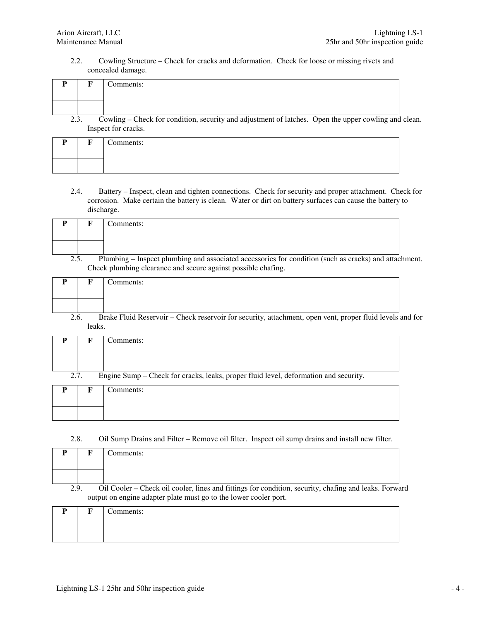2.2. Cowling Structure – Check for cracks and deformation. Check for loose or missing rivets and concealed damage.

|      | Comments:                                                                                                                   |  |
|------|-----------------------------------------------------------------------------------------------------------------------------|--|
|      |                                                                                                                             |  |
| 2.3. | Cowling – Check for condition, security and adjustment of latches. Open the upper cowling and clean.<br>Inspect for cracks. |  |

| $\mathbf{r}$ | $\sim$<br>Comments: |
|--------------|---------------------|
|              |                     |

2.4. Battery – Inspect, clean and tighten connections. Check for security and proper attachment. Check for corrosion. Make certain the battery is clean. Water or dirt on battery surfaces can cause the battery to discharge.

|  | Comments:                                                                                          |
|--|----------------------------------------------------------------------------------------------------|
|  |                                                                                                    |
|  | Plumbing Inspect plumbing and associated accessories for condition (such as cracks) and attachment |

2.5. Plumbing – Inspect plumbing and associated accessories for condition (such as cracks) and attachment. Check plumbing clearance and secure against possible chafing.

|      | Comments:                                                                                                |  |
|------|----------------------------------------------------------------------------------------------------------|--|
|      |                                                                                                          |  |
| 2.6. | Brake Fluid Reservoir – Check reservoir for security, attachment, open vent, proper fluid levels and for |  |

| 2.O. | Drake Fitting Reservoir – Check reservoir for security, attachment, open vent, proper fitting fevers and for |  |
|------|--------------------------------------------------------------------------------------------------------------|--|
|      | leaks.                                                                                                       |  |
|      |                                                                                                              |  |

| F                                                                                            | Comments: |  |  |
|----------------------------------------------------------------------------------------------|-----------|--|--|
|                                                                                              |           |  |  |
|                                                                                              |           |  |  |
| Engine Sump - Check for cracks, leaks, proper fluid level, deformation and security.<br>2.7. |           |  |  |
|                                                                                              | Comments: |  |  |
|                                                                                              |           |  |  |
|                                                                                              |           |  |  |

2.8. Oil Sump Drains and Filter – Remove oil filter. Inspect oil sump drains and install new filter.

|                                                                                                                                                                                   | Comments: |  |
|-----------------------------------------------------------------------------------------------------------------------------------------------------------------------------------|-----------|--|
|                                                                                                                                                                                   |           |  |
|                                                                                                                                                                                   |           |  |
| Oil Cooler – Check oil cooler, lines and fittings for condition, security, chafing and leaks. Forward<br>2.9.<br>output on engine adapter plate must go to the lower cooler port. |           |  |
|                                                                                                                                                                                   | Comments: |  |

| D | $\mathbf F$ | Comments: |
|---|-------------|-----------|
|   |             |           |
|   |             |           |
|   |             |           |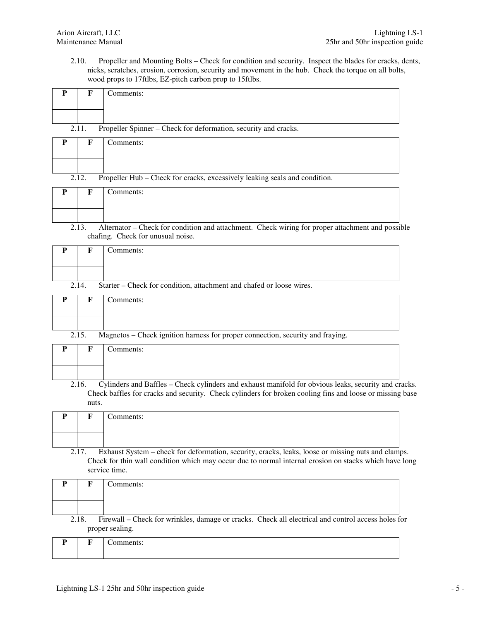2.10. Propeller and Mounting Bolts – Check for condition and security. Inspect the blades for cracks, dents, nicks, scratches, erosion, corrosion, security and movement in the hub. Check the torque on all bolts, wood props to 17ftlbs, EZ-pitch carbon prop to 15ftlbs.

| P         | F                            | Comments:                                                                                                                                                                                                                     |
|-----------|------------------------------|-------------------------------------------------------------------------------------------------------------------------------------------------------------------------------------------------------------------------------|
|           |                              |                                                                                                                                                                                                                               |
|           | 2.11.                        | Propeller Spinner - Check for deformation, security and cracks.                                                                                                                                                               |
| P         | F                            | Comments:                                                                                                                                                                                                                     |
|           | 2.12.                        | Propeller Hub – Check for cracks, excessively leaking seals and condition.                                                                                                                                                    |
| P         | F                            | Comments:                                                                                                                                                                                                                     |
|           | 2.13.                        | Alternator – Check for condition and attachment. Check wiring for proper attachment and possible<br>chafing. Check for unusual noise.                                                                                         |
| P         | F                            | Comments:                                                                                                                                                                                                                     |
|           | 2.14.                        | Starter – Check for condition, attachment and chafed or loose wires.                                                                                                                                                          |
| P         | F                            | Comments:                                                                                                                                                                                                                     |
|           | 2.15.                        | Magnetos - Check ignition harness for proper connection, security and fraying.                                                                                                                                                |
| P         | F                            | Comments:                                                                                                                                                                                                                     |
|           | $\overline{2.16}$ .<br>nuts. | Cylinders and Baffles - Check cylinders and exhaust manifold for obvious leaks, security and cracks.<br>Check baffles for cracks and security. Check cylinders for broken cooling fins and loose or missing base              |
| ${\bf P}$ | F                            | Comments:                                                                                                                                                                                                                     |
|           | 2.17.                        | Exhaust System - check for deformation, security, cracks, leaks, loose or missing nuts and clamps.<br>Check for thin wall condition which may occur due to normal internal erosion on stacks which have long<br>service time. |
| ${\bf P}$ | F                            | Comments:                                                                                                                                                                                                                     |
|           | 2.18.                        | Firewall - Check for wrinkles, damage or cracks. Check all electrical and control access holes for<br>proper sealing.                                                                                                         |
| $\bf P$   | F                            | Comments:                                                                                                                                                                                                                     |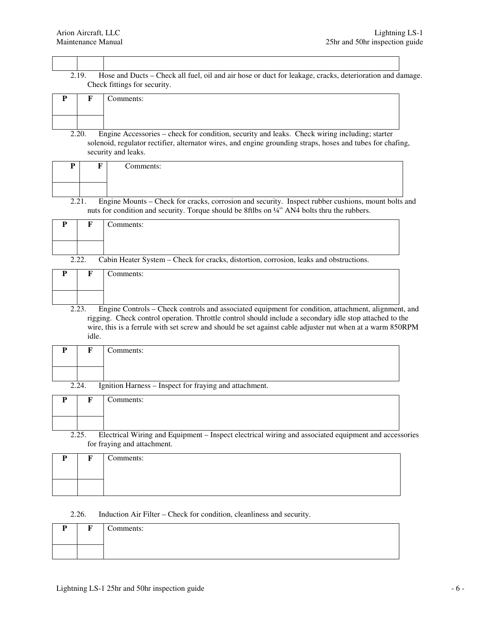2.19. Hose and Ducts – Check all fuel, oil and air hose or duct for leakage, cracks, deterioration and damage. Check fittings for security. **P F** Comments: 2.20. Engine Accessories – check for condition, security and leaks. Check wiring including; starter solenoid, regulator rectifier, alternator wires, and engine grounding straps, hoses and tubes for chafing, security and leaks. **P F** Comments: 2.21. Engine Mounts – Check for cracks, corrosion and security. Inspect rubber cushions, mount bolts and nuts for condition and security. Torque should be 8ftlbs on ¼" AN4 bolts thru the rubbers. **P F** Comments: 2.22. Cabin Heater System – Check for cracks, distortion, corrosion, leaks and obstructions. **P F** Comments: 2.23. Engine Controls – Check controls and associated equipment for condition, attachment, alignment, and rigging. Check control operation. Throttle control should include a secondary idle stop attached to the wire, this is a ferrule with set screw and should be set against cable adjuster nut when at a warm 850RPM idle. **P F** Comments: 2.24. Ignition Harness – Inspect for fraying and attachment. **P F** Comments: 2.25. Electrical Wiring and Equipment – Inspect electrical wiring and associated equipment and accessories for fraying and attachment. **P F** Comments:

#### 2.26. Induction Air Filter – Check for condition, cleanliness and security.

| $\sim$ | $\sim$<br>Comments: |
|--------|---------------------|
|        |                     |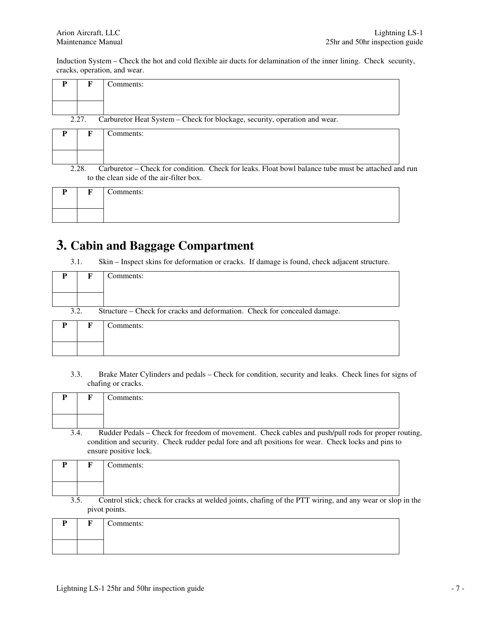Induction System – Check the hot and cold flexible air ducts for delamination of the inner lining. Check security, cracks, operation, and wear.

| F     | Comments:                                                                  |
|-------|----------------------------------------------------------------------------|
|       |                                                                            |
|       |                                                                            |
| 2.27. | Carburetor Heat System – Check for blockage, security, operation and wear. |

|      | Comments:                                                                                           |  |
|------|-----------------------------------------------------------------------------------------------------|--|
|      |                                                                                                     |  |
|      |                                                                                                     |  |
| 2.28 | Carburetor – Check for condition. Check for leaks. Float bowl balance tube must be attached and run |  |
|      | to the clean side of the air-filter box.                                                            |  |
|      | $\sim$ management                                                                                   |  |

| $\blacksquare$ | $\mathbf{r}$ | $\sim$<br>Comments: |
|----------------|--------------|---------------------|
|                |              |                     |
|                |              |                     |
|                |              |                     |

## **3. Cabin and Baggage Compartment**

3.1. Skin – Inspect skins for deformation or cracks. If damage is found, check adjacent structure.

| D    | F | Comments:                                                                 |
|------|---|---------------------------------------------------------------------------|
|      |   |                                                                           |
|      |   |                                                                           |
| 3.2. |   | Structure – Check for cracks and deformation. Check for concealed damage. |
| P    | F | Comments:                                                                 |
|      |   |                                                                           |

3.3. Brake Mater Cylinders and pedals – Check for condition, security and leaks. Check lines for signs of chafing or cracks.

|     | Comments:                                                                                          |  |
|-----|----------------------------------------------------------------------------------------------------|--|
|     |                                                                                                    |  |
|     |                                                                                                    |  |
| 3.4 | Rudder Pedals – Check for freedom of movement. Check cables and push/pull rods for proper routing, |  |

condition and security. Check rudder pedal fore and aft positions for wear. Check locks and pins to ensure positive lock.

|      | F | Comments:                                                                                                                 |  |
|------|---|---------------------------------------------------------------------------------------------------------------------------|--|
|      |   |                                                                                                                           |  |
|      |   |                                                                                                                           |  |
| 3.5. |   | Control stick; check for cracks at welded joints, chafing of the PTT wiring, and any wear or slop in the<br>pivot points. |  |
|      | F | Comments:                                                                                                                 |  |
|      |   |                                                                                                                           |  |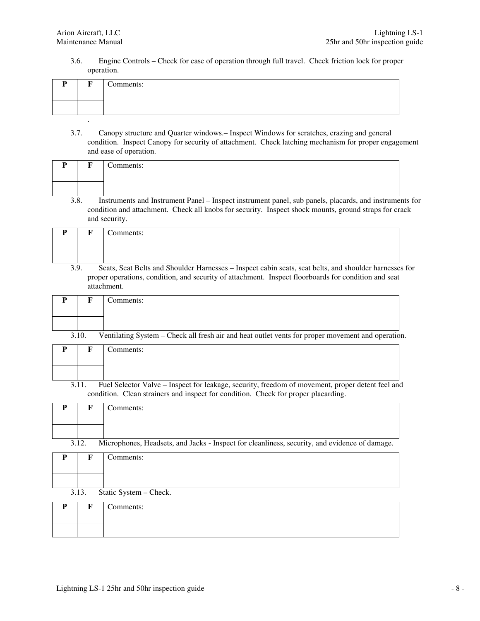3.6. Engine Controls – Check for ease of operation through full travel. Check friction lock for proper operation.

| F | Comments: |
|---|-----------|
|   |           |
|   |           |

3.7. Canopy structure and Quarter windows.– Inspect Windows for scratches, crazing and general condition. Inspect Canopy for security of attachment. Check latching mechanism for proper engagement and ease of operation.

|  | Comments: |  |
|--|-----------|--|
|  |           |  |

3.8. Instruments and Instrument Panel – Inspect instrument panel, sub panels, placards, and instruments for condition and attachment. Check all knobs for security. Inspect shock mounts, ground straps for crack and security.

| $\mathbf{r}$ | Comments: |
|--------------|-----------|
|              |           |

3.9. Seats, Seat Belts and Shoulder Harnesses – Inspect cabin seats, seat belts, and shoulder harnesses for proper operations, condition, and security of attachment. Inspect floorboards for condition and seat attachment.

|       | Comments:                                                                                         |
|-------|---------------------------------------------------------------------------------------------------|
|       |                                                                                                   |
| 3.10. | Ventilating System – Check all fresh air and heat outlet vents for proper movement and operation. |

| P | F     | Comments:                                                                                        |
|---|-------|--------------------------------------------------------------------------------------------------|
|   |       |                                                                                                  |
|   |       |                                                                                                  |
|   | 3.11. | Fuel Selector Valve – Inspect for leakage, security, freedom of movement, proper detent feel and |
|   |       | condition. Clean strainers and inspect for condition. Check for proper placarding.               |
| P | F     | Comments:                                                                                        |
|   |       |                                                                                                  |
|   |       |                                                                                                  |
|   |       |                                                                                                  |
|   | 3.12. | Microphones, Headsets, and Jacks - Inspect for cleanliness, security, and evidence of damage.    |
| P | F     | Comments:                                                                                        |
|   |       |                                                                                                  |
|   |       |                                                                                                  |
|   |       |                                                                                                  |

#### 3.13. Static System – Check.

| P | $\mathbf{F}$ | Comments: |
|---|--------------|-----------|
|   |              |           |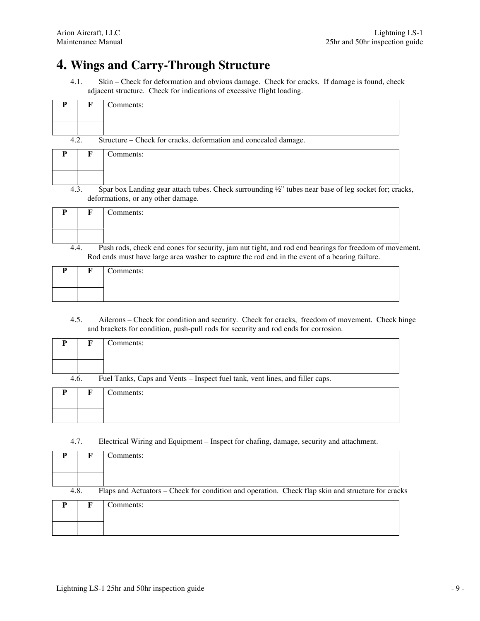## **4. Wings and Carry-Through Structure**

4.1. Skin – Check for deformation and obvious damage. Check for cracks. If damage is found, check adjacent structure. Check for indications of excessive flight loading.

| р    | F | Comments:                                                                                                                                            |
|------|---|------------------------------------------------------------------------------------------------------------------------------------------------------|
|      |   |                                                                                                                                                      |
|      |   |                                                                                                                                                      |
| 4.2. |   | Structure – Check for cracks, deformation and concealed damage.                                                                                      |
| р    | F | Comments:                                                                                                                                            |
|      |   |                                                                                                                                                      |
|      |   |                                                                                                                                                      |
| 4.3. |   | Spar box Landing gear attach tubes. Check surrounding $\frac{1}{2}$ tubes near base of leg socket for; cracks,<br>deformations, or any other damage. |
| P    | F | Comments:                                                                                                                                            |
|      |   |                                                                                                                                                      |
|      |   |                                                                                                                                                      |

4.4. Push rods, check end cones for security, jam nut tight, and rod end bearings for freedom of movement. Rod ends must have large area washer to capture the rod end in the event of a bearing failure.

| Ð | <b>TO</b> | $\sim$<br>Comments: |
|---|-----------|---------------------|
|   |           |                     |

4.5. Ailerons – Check for condition and security. Check for cracks, freedom of movement. Check hinge and brackets for condition, push-pull rods for security and rod ends for corrosion.

| D    | F | Comments:                                                                    |
|------|---|------------------------------------------------------------------------------|
|      |   |                                                                              |
|      |   |                                                                              |
| 4.6. |   | Fuel Tanks, Caps and Vents - Inspect fuel tank, vent lines, and filler caps. |
|      | F | Comments:                                                                    |
|      |   |                                                                              |
|      |   |                                                                              |

4.7. Electrical Wiring and Equipment – Inspect for chafing, damage, security and attachment.

| р    | F | Comments:                                                                                         |  |
|------|---|---------------------------------------------------------------------------------------------------|--|
|      |   |                                                                                                   |  |
|      |   |                                                                                                   |  |
| 4.8. |   | Flaps and Actuators – Check for condition and operation. Check flap skin and structure for cracks |  |
| P    | F | Comments:                                                                                         |  |
|      |   |                                                                                                   |  |
|      |   |                                                                                                   |  |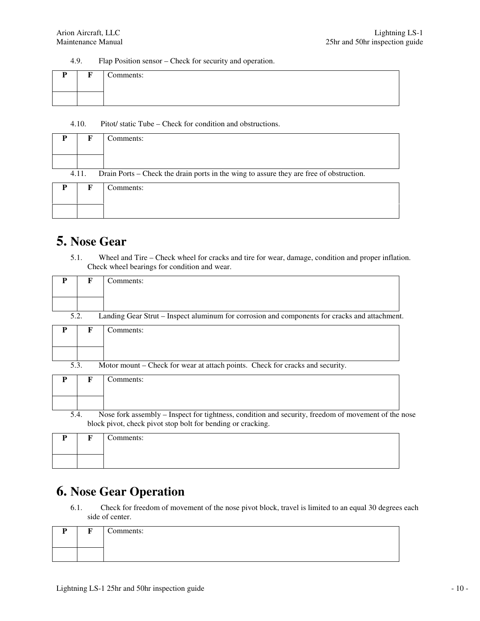#### 4.9. Flap Position sensor – Check for security and operation.

| D | $\mathbf{E}$ | Comments: |
|---|--------------|-----------|
|   |              |           |

#### 4.10. Pitot/ static Tube – Check for condition and obstructions.

| P | F                                                                                                | Comments: |  |  |  |
|---|--------------------------------------------------------------------------------------------------|-----------|--|--|--|
|   |                                                                                                  |           |  |  |  |
|   |                                                                                                  |           |  |  |  |
|   | Drain Ports – Check the drain ports in the wing to assure they are free of obstruction.<br>4.11. |           |  |  |  |
| P | F                                                                                                | Comments: |  |  |  |
|   |                                                                                                  |           |  |  |  |
|   |                                                                                                  |           |  |  |  |

### **5. Nose Gear**

5.1. Wheel and Tire – Check wheel for cracks and tire for wear, damage, condition and proper inflation. Check wheel bearings for condition and wear.

| P         | F | Comments:                                                                                           |
|-----------|---|-----------------------------------------------------------------------------------------------------|
|           |   |                                                                                                     |
|           |   |                                                                                                     |
| 5.2.      |   | Landing Gear Strut – Inspect aluminum for corrosion and components for cracks and attachment.       |
| ${\bf P}$ | F | Comments:                                                                                           |
|           |   |                                                                                                     |
|           |   |                                                                                                     |
| 5.3.      |   | Motor mount – Check for wear at attach points. Check for cracks and security.                       |
| P         | F | Comments:                                                                                           |
|           |   |                                                                                                     |
|           |   |                                                                                                     |
| 5.4.      |   | Nose fork assembly – Inspect for tightness, condition and security, freedom of movement of the nose |
|           |   | block pivot, check pivot stop bolt for bending or cracking.                                         |
| P         | F | Comments:                                                                                           |
|           |   |                                                                                                     |

## **6. Nose Gear Operation**

6.1. Check for freedom of movement of the nose pivot block, travel is limited to an equal 30 degrees each side of center.

| D<br>- | . т. т. | $\sim$<br>Comments: |
|--------|---------|---------------------|
|        |         |                     |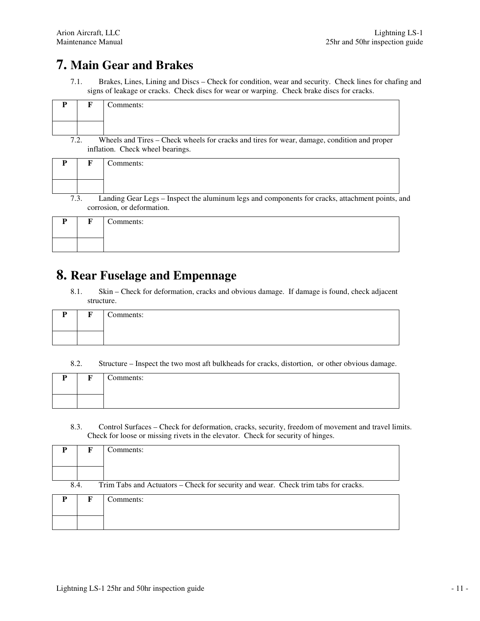## **7. Main Gear and Brakes**

7.1. Brakes, Lines, Lining and Discs – Check for condition, wear and security. Check lines for chafing and signs of leakage or cracks. Check discs for wear or warping. Check brake discs for cracks.

| P    |   | Comments:                                                                                   |
|------|---|---------------------------------------------------------------------------------------------|
|      |   |                                                                                             |
|      |   |                                                                                             |
| 7.2. |   | Wheels and Tires – Check wheels for cracks and tires for wear, damage, condition and proper |
|      |   | inflation. Check wheel bearings.                                                            |
|      | - | $\tilde{\phantom{a}}$                                                                       |

|      | Comments:                                                                                       |  |
|------|-------------------------------------------------------------------------------------------------|--|
|      |                                                                                                 |  |
|      |                                                                                                 |  |
| 7.3. | Landing Gear Legs – Inspect the aluminum legs and components for cracks, attachment points, and |  |
|      | corrosion, or deformation.                                                                      |  |

| D | $\mathbf{r}$ | $\sim$<br>Comments: |
|---|--------------|---------------------|
|   |              |                     |
|   |              |                     |

### **8. Rear Fuselage and Empennage**

8.1. Skin – Check for deformation, cracks and obvious damage. If damage is found, check adjacent structure.

| ю | ∼<br>Comments: |
|---|----------------|
|   |                |

8.2. Structure – Inspect the two most aft bulkheads for cracks, distortion, or other obvious damage.

| D | $\mathbf{E}$ | Comments: |
|---|--------------|-----------|
|   |              |           |

8.3. Control Surfaces – Check for deformation, cracks, security, freedom of movement and travel limits. Check for loose or missing rivets in the elevator. Check for security of hinges.

| D                                                                                          | F | Comments: |
|--------------------------------------------------------------------------------------------|---|-----------|
|                                                                                            |   |           |
|                                                                                            |   |           |
| Trim Tabs and Actuators – Check for security and wear. Check trim tabs for cracks.<br>8.4. |   |           |
| P                                                                                          | F | Comments: |
|                                                                                            |   |           |
|                                                                                            |   |           |